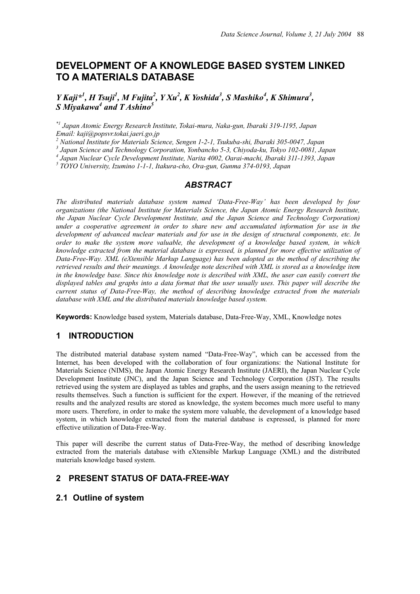# **DEVELOPMENT OF A KNOWLEDGE BASED SYSTEM LINKED TO A MATERIALS DATABASE**

*Y* Kaji<sup>\*1</sup>, *H* Tsuji<sup>1</sup>, *M* Fujita<sup>2</sup>, *Y Xu*<sup>2</sup>, *K Yoshida*<sup>3</sup>, *S Mashiko*<sup>4</sup>, *K Shimura*<sup>3</sup>, *S Miyakawa<sup>4</sup> and T Ashino<sup>5</sup>*

*\*1 Japan Atomic Energy Research Institute, Tokai-mura, Naka-gun, Ibaraki 319-1195, Japan Email: kaji@popsvr.tokai.jaeri.go.jp* 

*2 National Institute for Materials Science, Sengen 1-2-1, Tsukuba-shi, Ibaraki 305-0047, Japan* 

*3 Japan Science and Technology Corporation, Yonbancho 5-3, Chiyoda-ku, Tokyo 102-0081, Japan* 

<sup>4</sup> Japan Nuclear Cycle Development Institute, Narita 4002, Oarai-machi, Ibaraki 311-1393, Japan 5<br>5 TOVO University Japanes 1, 1, 1, Italywa eko. Ora arm Gyuma 274,0102, Japan

 *TOYO University, Izumino 1-1-1, Itakura-cho, Ora-gun, Gunma 374-0193, Japan* 

## *ABSTRACT*

*The distributed materials database system named 'Data-Free-Way' has been developed by four organizations (the National Institute for Materials Science, the Japan Atomic Energy Research Institute, the Japan Nuclear Cycle Development Institute, and the Japan Science and Technology Corporation) under a cooperative agreement in order to share new and accumulated information for use in the development of advanced nuclear materials and for use in the design of structural components, etc. In order to make the system more valuable, the development of a knowledge based system, in which knowledge extracted from the material database is expressed, is planned for more effective utilization of Data-Free-Way. XML (eXtensible Markup Language) has been adopted as the method of describing the retrieved results and their meanings. A knowledge note described with XML is stored as a knowledge item in the knowledge base. Since this knowledge note is described with XML, the user can easily convert the*  displayed tables and graphs into a data format that the user usually uses. This paper will describe the *current status of Data-Free-Way, the method of describing knowledge extracted from the materials database with XML and the distributed materials knowledge based system.* 

**Keywords:** Knowledge based system, Materials database, Data-Free-Way, XML, Knowledge notes

### **1 INTRODUCTION**

The distributed material database system named "Data-Free-Way", which can be accessed from the Internet, has been developed with the collaboration of four organizations: the National Institute for Materials Science (NIMS), the Japan Atomic Energy Research Institute (JAERI), the Japan Nuclear Cycle Development Institute (JNC), and the Japan Science and Technology Corporation (JST). The results retrieved using the system are displayed as tables and graphs, and the users assign meaning to the retrieved results themselves. Such a function is sufficient for the expert. However, if the meaning of the retrieved results and the analyzed results are stored as knowledge, the system becomes much more useful to many more users. Therefore, in order to make the system more valuable, the development of a knowledge based system, in which knowledge extracted from the material database is expressed, is planned for more effective utilization of Data-Free-Way.

This paper will describe the current status of Data-Free-Way, the method of describing knowledge extracted from the materials database with eXtensible Markup Language (XML) and the distributed materials knowledge based system.

## **2 PRESENT STATUS OF DATA-FREE-WAY**

### **2.1 Outline of system**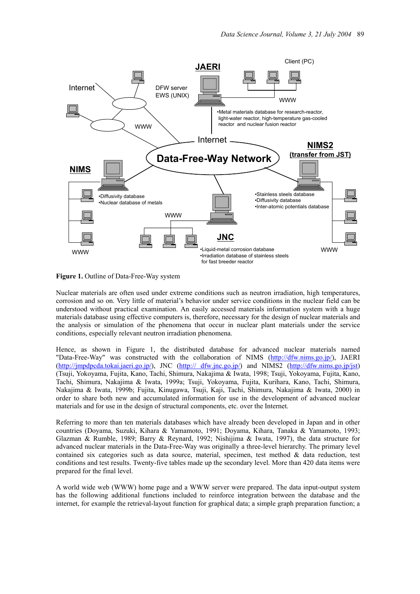

**Figure 1.** Outline of Data-Free-Way system

Nuclear materials are often used under extreme conditions such as neutron irradiation, high temperatures, corrosion and so on. Very little of material's behavior under service conditions in the nuclear field can be understood without practical examination. An easily accessed materials information system with a huge materials database using effective computers is, therefore, necessary for the design of nuclear materials and the analysis or simulation of the phenomena that occur in nuclear plant materials under the service conditions, especially relevant neutron irradiation phenomena.

Hence, as shown in Figure 1, the distributed database for advanced nuclear materials named "Data-Free-Way" was constructed with the collaboration of NIMS (http://dfw.nims.go.jp/), JAERI (http://jmpdpcda.tokai.jaeri.go.jp/), JNC (http:// dfw.jnc.go.jp/) and NIMS2 (http://dfw.nims.go.jp/jst) (Tsuji, Yokoyama, Fujita, Kano, Tachi, Shimura, Nakajima & Iwata, 1998; Tsuji, Yokoyama, Fujita, Kano, Tachi, Shimura, Nakajima & Iwata, 1999a; Tsuji, Yokoyama, Fujita, Kurihara, Kano, Tachi, Shimura, Nakajima & Iwata, 1999b; Fujita, Kinugawa, Tsuji, Kaji, Tachi, Shimura, Nakajima & Iwata, 2000) in order to share both new and accumulated information for use in the development of advanced nuclear materials and for use in the design of structural components, etc. over the Internet.

Referring to more than ten materials databases which have already been developed in Japan and in other countries (Doyama, Suzuki, Kihara & Yamamoto, 1991; Doyama, Kihara, Tanaka & Yamamoto, 1993; Glazman & Rumble, 1989; Barry & Reynard, 1992; Nishijima & Iwata, 1997), the data structure for advanced nuclear materials in the Data-Free-Way was originally a three-level hierarchy. The primary level contained six categories such as data source, material, specimen, test method  $\&$  data reduction, test conditions and test results. Twenty-five tables made up the secondary level. More than 420 data items were prepared for the final level.

A world wide web (WWW) home page and a WWW server were prepared. The data input-output system has the following additional functions included to reinforce integration between the database and the internet, for example the retrieval-layout function for graphical data; a simple graph preparation function; a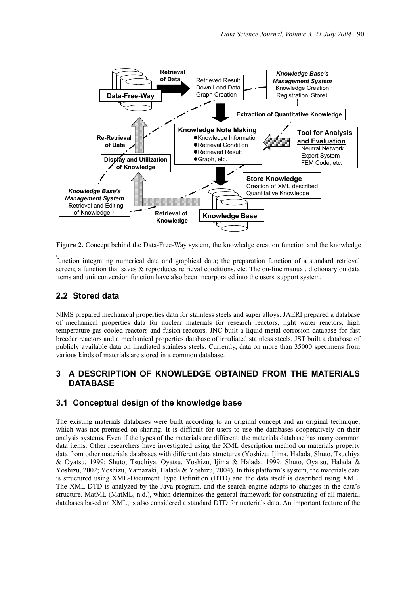

**Figure 2.** Concept behind the Data-Free-Way system, the knowledge creation function and the knowledge

function integrating numerical data and graphical data; the preparation function of a standard retrieval basescreen; a function that saves & reproduces retrieval conditions, etc. The on-line manual, dictionary on data items and unit conversion function have also been incorporated into the users' support system.

#### **2.2 Stored data**

NIMS prepared mechanical properties data for stainless steels and super alloys. JAERI prepared a database of mechanical properties data for nuclear materials for research reactors, light water reactors, high temperature gas-cooled reactors and fusion reactors. JNC built a liquid metal corrosion database for fast breeder reactors and a mechanical properties database of irradiated stainless steels. JST built a database of publicly available data on irradiated stainless steels. Currently, data on more than 35000 specimens from various kinds of materials are stored in a common database.

## **3 A DESCRIPTION OF KNOWLEDGE OBTAINED FROM THE MATERIALS DATABASE**

#### **3.1 Conceptual design of the knowledge base**

The existing materials databases were built according to an original concept and an original technique, which was not premised on sharing. It is difficult for users to use the databases cooperatively on their analysis systems. Even if the types of the materials are different, the materials database has many common data items. Other researchers have investigated using the XML description method on materials property data from other materials databases with different data structures (Yoshizu, Ijima, Halada, Shuto, Tsuchiya & Oyatsu, 1999; Shuto, Tsuchiya, Oyatsu, Yoshizu, Ijima & Halada, 1999; Shuto, Oyatsu, Halada & Yoshizu, 2002; Yoshizu, Yamazaki, Halada & Yoshizu, 2004). In this platform's system, the materials data is structured using XML-Document Type Definition (DTD) and the data itself is described using XML. The XML-DTD is analyzed by the Java program, and the search engine adapts to changes in the data's structure. MatML (MatML, n.d.), which determines the general framework for constructing of all material databases based on XML, is also considered a standard DTD for materials data. An important feature of the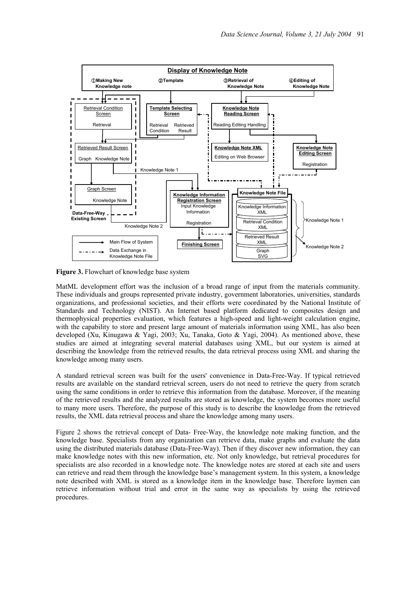

**Figure 3.** Flowchart of knowledge base system

MatML development effort was the inclusion of a broad range of input from the materials community. These individuals and groups represented private industry, government laboratories, universities, standards organizations, and professional societies, and their efforts were coordinated by the National Institute of Standards and Technology (NIST). An Internet based platform dedicated to composites design and thermophysical properties evaluation, which features a high-speed and light-weight calculation engine, with the capability to store and present large amount of materials information using XML, has also been developed (Xu, Kinugawa & Yagi, 2003; Xu, Tanaka, Goto & Yagi, 2004). As mentioned above, these studies are aimed at integrating several material databases using XML, but our system is aimed at describing the knowledge from the retrieved results, the data retrieval process using XML and sharing the knowledge among many users.

A standard retrieval screen was built for the users' convenience in Data-Free-Way. If typical retrieved results are available on the standard retrieval screen, users do not need to retrieve the query from scratch using the same conditions in order to retrieve this information from the database. Moreover, if the meaning of the retrieved results and the analyzed results are stored as knowledge, the system becomes more useful to many more users. Therefore, the purpose of this study is to describe the knowledge from the retrieved results, the XML data retrieval process and share the knowledge among many users.

Figure 2 shows the retrieval concept of Data- Free-Way, the knowledge note making function, and the knowledge base. Specialists from any organization can retrieve data, make graphs and evaluate the data using the distributed materials database (Data-Free-Way). Then if they discover new information, they can make knowledge notes with this new information, etc. Not only knowledge, but retrieval procedures for specialists are also recorded in a knowledge note. The knowledge notes are stored at each site and users can retrieve and read them through the knowledge base's management system. In this system, a knowledge note described with XML is stored as a knowledge item in the knowledge base. Therefore laymen can retrieve information without trial and error in the same way as specialists by using the retrieved procedures.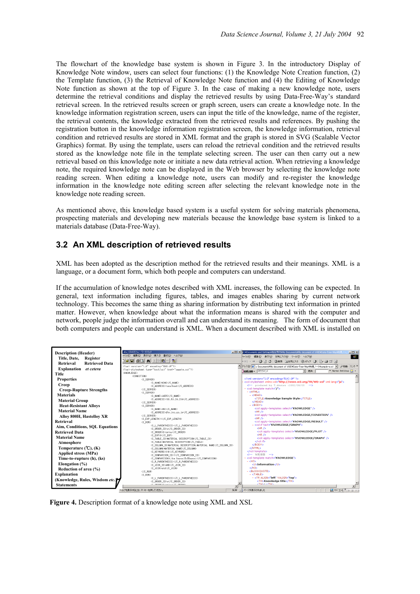The flowchart of the knowledge base system is shown in Figure 3. In the introductory Display of Knowledge Note window, users can select four functions: (1) the Knowledge Note Creation function, (2) the Template function, (3) the Retrieval of Knowledge Note function and (4) the Editing of Knowledge Note function as shown at the top of Figure 3. In the case of making a new knowledge note, users determine the retrieval conditions and display the retrieved results by using Data-Free-Way's standard retrieval screen. In the retrieved results screen or graph screen, users can create a knowledge note. In the knowledge information registration screen, users can input the title of the knowledge, name of the register, the retrieval contents, the knowledge extracted from the retrieved results and references. By pushing the registration button in the knowledge information registration screen, the knowledge information, retrieval condition and retrieved results are stored in XML format and the graph is stored in SVG (Scalable Vector Graphics) format. By using the template, users can reload the retrieval condition and the retrieved results stored as the knowledge note file in the template selecting screen. The user can then carry out a new retrieval based on this knowledge note or initiate a new data retrieval action. When retrieving a knowledge note, the required knowledge note can be displayed in the Web browser by selecting the knowledge note reading screen. When editing a knowledge note, users can modify and re-register the knowledge information in the knowledge note editing screen after selecting the relevant knowledge note in the knowledge note reading screen.

As mentioned above, this knowledge based system is a useful system for solving materials phenomena, prospecting materials and developing new materials because the knowledge base system is linked to a materials database (Data-Free-Way).

#### **3.2 An XML description of retrieved results**

XML has been adopted as the description method for the retrieved results and their meanings. XML is a language, or a document form, which both people and computers can understand.

If the accumulation of knowledge notes described with XML increases, the following can be expected. In general, text information including figures, tables, and images enables sharing by current network technology. This becomes the same thing as sharing information by distributing text information in printed matter. However, when knowledge about what the information means is shared with the computer and network, people judge the information overall and can understand its meaning. The form of document that both computers and people can understand is XML. When a document described with XML is installed on



**Figure 4.** Description format of a knowledge note using XML and XSL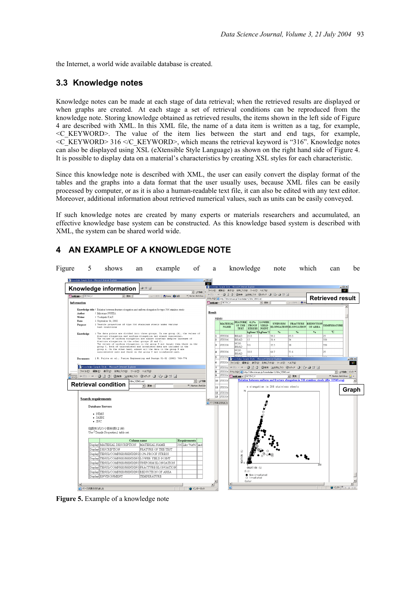the Internet, a world wide available database is created.

## **3.3 Knowledge notes**

Knowledge notes can be made at each stage of data retrieval; when the retrieved results are displayed or when graphs are created. At each stage a set of retrieval conditions can be reproduced from the knowledge note. Storing knowledge obtained as retrieved results, the items shown in the left side of Figure 4 are described with XML. In this XML file, the name of a data item is written as a tag, for example, <C\_KEYWORD>. The value of the item lies between the start and end tags, for example,  $\leq$ C\_KEYWORD> 316  $\leq$ /C\_KEYWORD>, which means the retrieval keyword is "316". Knowledge notes can also be displayed using XSL (eXtensible Style Language) as shown on the right hand side of Figure 4. It is possible to display data on a material's characteristics by creating XSL styles for each characteristic.

Since this knowledge note is described with XML, the user can easily convert the display format of the tables and the graphs into a data format that the user usually uses, because XML files can be easily processed by computer, or as it is also a human-readable text file, it can also be edited with any text editor. Moreover, additional information about retrieved numerical values, such as units can be easily conveyed.

If such knowledge notes are created by many experts or materials researchers and accumulated, an effective knowledge base system can be constructed. As this knowledge based system is described with XML, the system can be shared world wide.

## **4 AN EXAMPLE OF A KNOWLEDGE NOTE**



**Figure 5.** Example of a knowledge note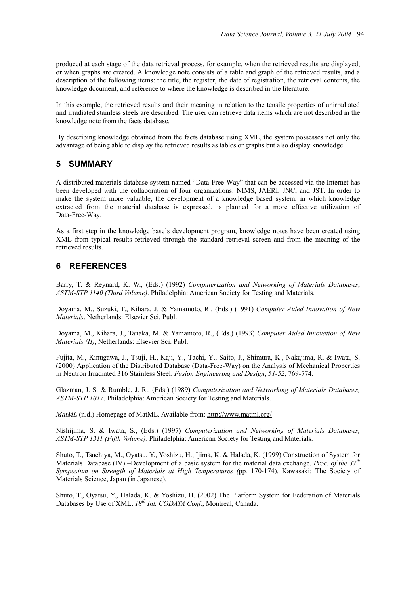produced at each stage of the data retrieval process, for example, when the retrieved results are displayed, or when graphs are created. A knowledge note consists of a table and graph of the retrieved results, and a description of the following items: the title, the register, the date of registration, the retrieval contents, the knowledge document, and reference to where the knowledge is described in the literature.

In this example, the retrieved results and their meaning in relation to the tensile properties of unirradiated and irradiated stainless steels are described. The user can retrieve data items which are not described in the knowledge note from the facts database.

By describing knowledge obtained from the facts database using XML, the system possesses not only the advantage of being able to display the retrieved results as tables or graphs but also display knowledge.

#### **5 SUMMARY**

A distributed materials database system named "Data-Free-Way" that can be accessed via the Internet has been developed with the collaboration of four organizations: NIMS, JAERI, JNC, and JST. In order to make the system more valuable, the development of a knowledge based system, in which knowledge extracted from the material database is expressed, is planned for a more effective utilization of Data-Free-Way.

As a first step in the knowledge base's development program, knowledge notes have been created using XML from typical results retrieved through the standard retrieval screen and from the meaning of the retrieved results.

## **6 REFERENCES**

Barry, T. & Reynard, K. W., (Eds.) (1992) *Computerization and Networking of Materials Databases*, *ASTM-STP 1140 (Third Volume)*. Philadelphia: American Society for Testing and Materials.

Doyama, M., Suzuki, T., Kihara, J. & Yamamoto, R., (Eds.) (1991) *Computer Aided Innovation of New Materials*. Netherlands: Elsevier Sci. Publ.

Doyama, M., Kihara, J., Tanaka, M. & Yamamoto, R., (Eds.) (1993) *Computer Aided Innovation of New Materials (II)*, Netherlands: Elsevier Sci. Publ.

Fujita, M., Kinugawa, J., Tsuji, H., Kaji, Y., Tachi, Y., Saito, J., Shimura, K., Nakajima, R. & Iwata, S. (2000) Application of the Distributed Database (Data-Free-Way) on the Analysis of Mechanical Properties in Neutron Irradiated 316 Stainless Steel. *Fusion Engineering and Design*, *51-52*, 769-774.

Glazman, J. S. & Rumble, J. R., (Eds.) (1989) *Computerization and Networking of Materials Databases, ASTM-STP 1017*. Philadelphia: American Society for Testing and Materials.

*MatML* (n.d.) Homepage of MatML. Available from: http://www.matml.org/

Nishijima, S. & Iwata, S., (Eds.) (1997) *Computerization and Networking of Materials Databases, ASTM-STP 1311 (Fifth Volume).* Philadelphia: American Society for Testing and Materials.

Shuto, T., Tsuchiya, M., Oyatsu, Y., Yoshizu, H., Ijima, K. & Halada, K. (1999) Construction of System for Materials Database (IV) –Development of a basic system for the material data exchange. *Proc. of the 37th Symposium on Strength of Materials at High Temperatures (*pp*.* 170-174). Kawasaki: The Society of Materials Science, Japan (in Japanese).

Shuto, T., Oyatsu, Y., Halada, K. & Yoshizu, H. (2002) The Platform System for Federation of Materials Databases by Use of XML, *18th Int. CODATA Conf.*, Montreal, Canada.